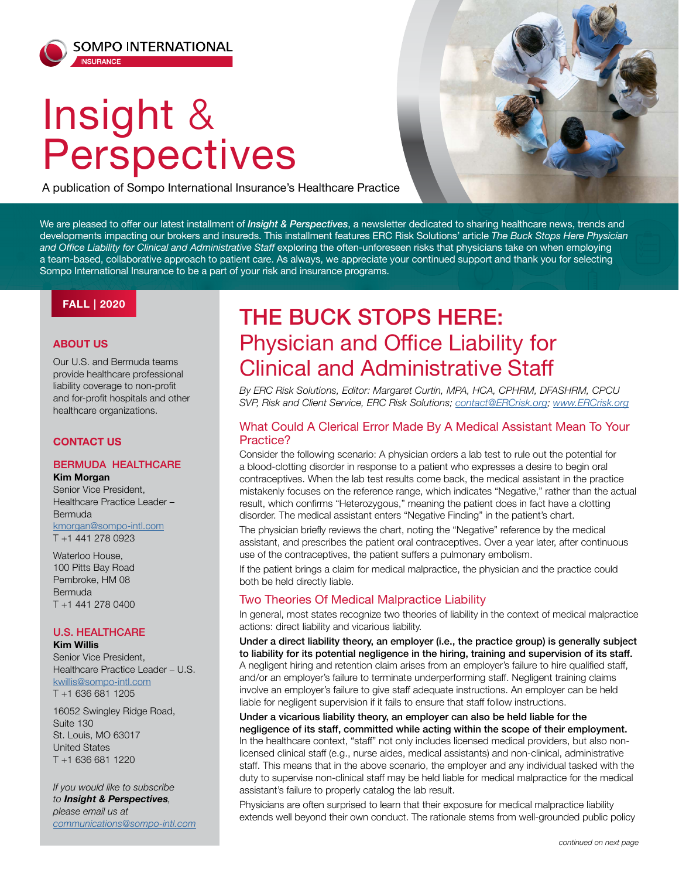# Insight & Perspectives

A publication of Sompo International Insurance's Healthcare Practice



We are pleased to offer our latest installment of *Insight & Perspectives*, a newsletter dedicated to sharing healthcare news, trends and developments impacting our brokers and insureds. This installment features ERC Risk Solutions' article *The Buck Stops Here Physician and Office Liability for Clinical and Administrative Staff* exploring the often-unforeseen risks that physicians take on when employing a team-based, collaborative approach to patient care. As always, we appreciate your continued support and thank you for selecting Sompo International Insurance to be a part of your risk and insurance programs.

### **FALL | 2020**

### **ABOUT US**

Our U.S. and Bermuda teams provide healthcare professional liability coverage to non-profit and for-profit hospitals and other healthcare organizations.

### **CONTACT US**

### BERMUDA HEALTHCARE

#### **Kim Morgan** Senior Vice President,

Healthcare Practice Leader – Bermuda kmorgan@sompo-intl.com T +1 441 278 0923

Waterloo House, 100 Pitts Bay Road Pembroke, HM 08 Bermuda T +1 441 278 0400

### U.S. HEALTHCARE

**Kim Willis** Senior Vice President, Healthcare Practice Leader – U.S. kwillis@sompo-intl.com

T +1 636 681 1205

16052 Swingley Ridge Road, Suite 130 St. Louis, MO 63017 United States T +1 636 681 1220

*If you would like to subscribe to Insight & Perspectives, please email us at communications@sompo-intl.com*

## THE BUCK STOPS HERE: Physician and Office Liability for Clinical and Administrative Staff

*By ERC Risk Solutions, Editor: Margaret Curtin, MPA, HCA, CPHRM, DFASHRM, CPCU SVP, Risk and Client Service, ERC Risk Solutions; [contact@ERCrisk.org;](mailto:contact%40ERCrisk.org?subject=) [www.ERCrisk.org](http://www.ERCrisk.org)*

### What Could A Clerical Error Made By A Medical Assistant Mean To Your Practice?

Consider the following scenario: A physician orders a lab test to rule out the potential for a blood-clotting disorder in response to a patient who expresses a desire to begin oral contraceptives. When the lab test results come back, the medical assistant in the practice mistakenly focuses on the reference range, which indicates "Negative," rather than the actual result, which confirms "Heterozygous," meaning the patient does in fact have a clotting disorder. The medical assistant enters "Negative Finding" in the patient's chart.

The physician briefly reviews the chart, noting the "Negative" reference by the medical assistant, and prescribes the patient oral contraceptives. Over a year later, after continuous use of the contraceptives, the patient suffers a pulmonary embolism.

If the patient brings a claim for medical malpractice, the physician and the practice could both be held directly liable.

### Two Theories Of Medical Malpractice Liability

In general, most states recognize two theories of liability in the context of medical malpractice actions: direct liability and vicarious liability.

Under a direct liability theory, an employer (i.e., the practice group) is generally subject to liability for its potential negligence in the hiring, training and supervision of its staff. A negligent hiring and retention claim arises from an employer's failure to hire qualified staff, and/or an employer's failure to terminate underperforming staff. Negligent training claims involve an employer's failure to give staff adequate instructions. An employer can be held liable for negligent supervision if it fails to ensure that staff follow instructions.

Under a vicarious liability theory, an employer can also be held liable for the negligence of its staff, committed while acting within the scope of their employment. In the healthcare context, "staff" not only includes licensed medical providers, but also nonlicensed clinical staff (e.g., nurse aides, medical assistants) and non-clinical, administrative staff. This means that in the above scenario, the employer and any individual tasked with the duty to supervise non-clinical staff may be held liable for medical malpractice for the medical assistant's failure to properly catalog the lab result.

Physicians are often surprised to learn that their exposure for medical malpractice liability extends well beyond their own conduct. The rationale stems from well-grounded public policy